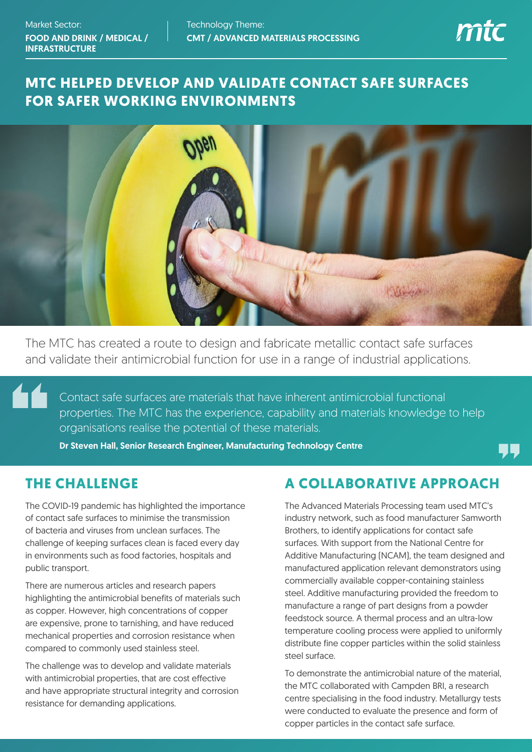

# **MTC HELPED DEVELOP AND VALIDATE CONTACT SAFE SURFACES FOR SAFER WORKING ENVIRONMENTS**



The MTC has created a route to design and fabricate metallic contact safe surfaces and validate their antimicrobial function for use in a range of industrial applications.

Contact safe surfaces are materials that have inherent antimicrobial functional properties. The MTC has the experience, capability and materials knowledge to help organisations realise the potential of these materials.

Dr Steven Hall, Senior Research Engineer, Manufacturing Technology Centre

### **THE CHALLENGE**

The COVID-19 pandemic has highlighted the importance of contact safe surfaces to minimise the transmission of bacteria and viruses from unclean surfaces. The challenge of keeping surfaces clean is faced every day in environments such as food factories, hospitals and public transport.

There are numerous articles and research papers highlighting the antimicrobial benefits of materials such as copper. However, high concentrations of copper are expensive, prone to tarnishing, and have reduced mechanical properties and corrosion resistance when compared to commonly used stainless steel.

The challenge was to develop and validate materials with antimicrobial properties, that are cost effective and have appropriate structural integrity and corrosion resistance for demanding applications.

#### **A COLLABORATIVE APPROACH**

The Advanced Materials Processing team used MTC's industry network, such as food manufacturer Samworth Brothers, to identify applications for contact safe surfaces. With support from the National Centre for Additive Manufacturing (NCAM), the team designed and manufactured application relevant demonstrators using commercially available copper-containing stainless steel. Additive manufacturing provided the freedom to manufacture a range of part designs from a powder feedstock source. A thermal process and an ultra-low temperature cooling process were applied to uniformly distribute fine copper particles within the solid stainless steel surface.

To demonstrate the antimicrobial nature of the material, the MTC collaborated with Campden BRI, a research centre specialising in the food industry. Metallurgy tests were conducted to evaluate the presence and form of copper particles in the contact safe surface.